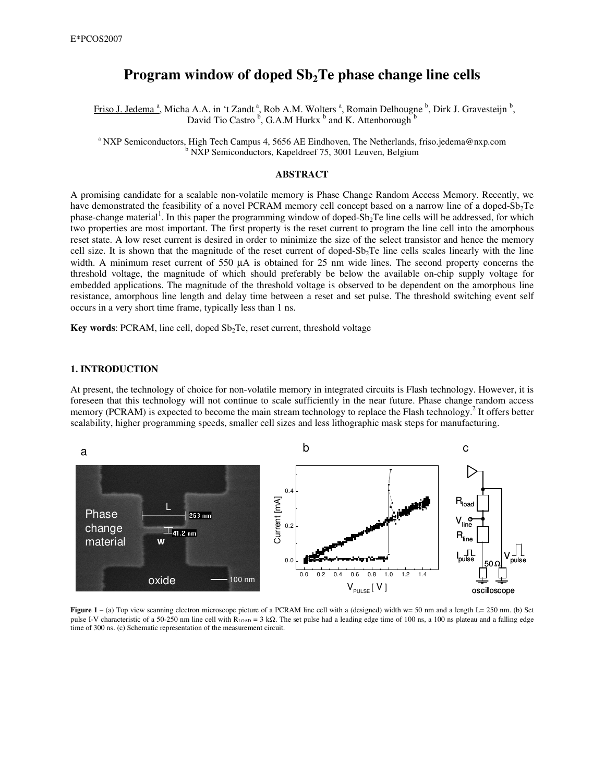# **Program window of doped Sb2Te phase change line cells**

Friso J. Jedema<sup>a</sup>, Micha A.A. in 't Zandt<sup>a</sup>, Rob A.M. Wolters<sup>a</sup>, Romain Delhougne<sup>b</sup>, Dirk J. Gravesteijn<sup>b</sup>, David Tio Castro<sup>b</sup>, G.A.M Hurkx<sup>b</sup> and K. Attenborough<sup>b</sup>

<sup>a</sup> NXP Semiconductors, High Tech Campus 4, 5656 AE Eindhoven, The Netherlands, friso.jedema@nxp.com <sup>b</sup> NXP Semiconductors, Kapeldreef 75, 3001 Leuven, Belgium

## **ABSTRACT**

A promising candidate for a scalable non-volatile memory is Phase Change Random Access Memory. Recently, we have demonstrated the feasibility of a novel PCRAM memory cell concept based on a narrow line of a doped-Sb<sub>2</sub>Te phase-change material<sup>1</sup>. In this paper the programming window of doped-Sb<sub>2</sub>Te line cells will be addressed, for which two properties are most important. The first property is the reset current to program the line cell into the amorphous reset state. A low reset current is desired in order to minimize the size of the select transistor and hence the memory cell size. It is shown that the magnitude of the reset current of doped- $Sb<sub>2</sub>Te$  line cells scales linearly with the line width. A minimum reset current of 550  $\mu$ A is obtained for 25 nm wide lines. The second property concerns the threshold voltage, the magnitude of which should preferably be below the available on-chip supply voltage for embedded applications. The magnitude of the threshold voltage is observed to be dependent on the amorphous line resistance, amorphous line length and delay time between a reset and set pulse. The threshold switching event self occurs in a very short time frame, typically less than 1 ns.

**Key** words: PCRAM, line cell, doped Sb<sub>2</sub>Te, reset current, threshold voltage

# **1. INTRODUCTION**

At present, the technology of choice for non-volatile memory in integrated circuits is Flash technology. However, it is foreseen that this technology will not continue to scale sufficiently in the near future. Phase change random access memory (PCRAM) is expected to become the main stream technology to replace the Flash technology.<sup>2</sup> It offers better scalability, higher programming speeds, smaller cell sizes and less lithographic mask steps for manufacturing.



**Figure**  $1 - (a)$  Top view scanning electron microscope picture of a PCRAM line cell with a (designed) width  $w = 50$  nm and a length  $L = 250$  nm. (b) Set pulse I-V characteristic of a 50-250 nm line cell with R<sub>LOAD</sub> = 3 kΩ. The set pulse had a leading edge time of 100 ns, a 100 ns plateau and a falling edge time of 300 ns. (c) Schematic representation of the measurement circuit.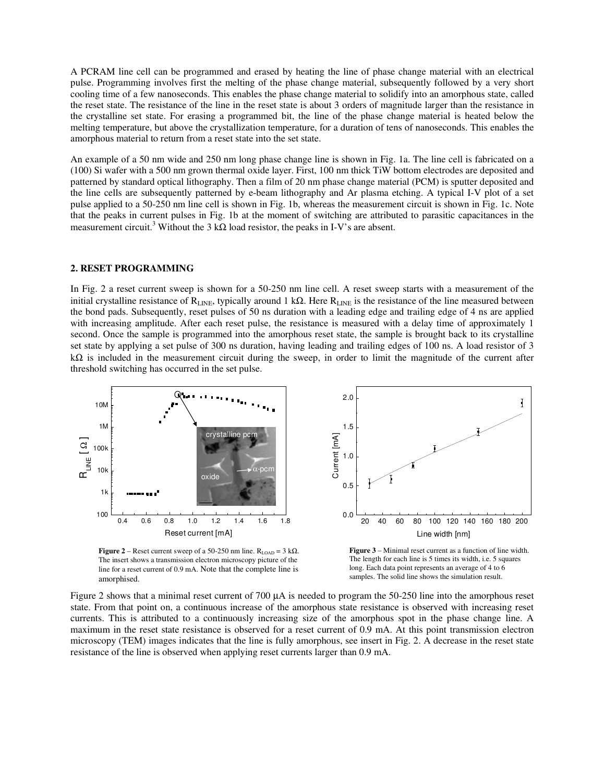A PCRAM line cell can be programmed and erased by heating the line of phase change material with an electrical pulse. Programming involves first the melting of the phase change material, subsequently followed by a very short cooling time of a few nanoseconds. This enables the phase change material to solidify into an amorphous state, called the reset state. The resistance of the line in the reset state is about 3 orders of magnitude larger than the resistance in the crystalline set state. For erasing a programmed bit, the line of the phase change material is heated below the melting temperature, but above the crystallization temperature, for a duration of tens of nanoseconds. This enables the amorphous material to return from a reset state into the set state.

An example of a 50 nm wide and 250 nm long phase change line is shown in Fig. 1a. The line cell is fabricated on a (100) Si wafer with a 500 nm grown thermal oxide layer. First, 100 nm thick TiW bottom electrodes are deposited and patterned by standard optical lithography. Then a film of 20 nm phase change material (PCM) is sputter deposited and the line cells are subsequently patterned by e-beam lithography and Ar plasma etching. A typical I-V plot of a set pulse applied to a 50-250 nm line cell is shown in Fig. 1b, whereas the measurement circuit is shown in Fig. 1c. Note that the peaks in current pulses in Fig. 1b at the moment of switching are attributed to parasitic capacitances in the measurement circuit.<sup>3</sup> Without the 3 k $\Omega$  load resistor, the peaks in I-V's are absent.

#### **2. RESET PROGRAMMING**

In Fig. 2 a reset current sweep is shown for a 50-250 nm line cell. A reset sweep starts with a measurement of the initial crystalline resistance of R<sub>LINE</sub>, typically around 1 kΩ. Here R<sub>LINE</sub> is the resistance of the line measured between the bond pads. Subsequently, reset pulses of 50 ns duration with a leading edge and trailing edge of 4 ns are applied with increasing amplitude. After each reset pulse, the resistance is measured with a delay time of approximately 1 second. Once the sample is programmed into the amorphous reset state, the sample is brought back to its crystalline set state by applying a set pulse of 300 ns duration, having leading and trailing edges of 100 ns. A load resistor of 3  $kΩ$  is included in the measurement circuit during the sweep, in order to limit the magnitude of the current after threshold switching has occurred in the set pulse.



**Figure** 2 – Reset current sweep of a 50-250 nm line.  $R_{LOAD} = 3 k\Omega$ . The insert shows a transmission electron microscopy picture of the line for a reset current of 0.9 mA. Note that the complete line is amorphised.

**Figure 3** – Minimal reset current as a function of line width. The length for each line is 5 times its width, i.e. 5 squares long. Each data point represents an average of 4 to 6 samples. The solid line shows the simulation result.

Figure 2 shows that a minimal reset current of 700 µA is needed to program the 50-250 line into the amorphous reset state. From that point on, a continuous increase of the amorphous state resistance is observed with increasing reset currents. This is attributed to a continuously increasing size of the amorphous spot in the phase change line. A maximum in the reset state resistance is observed for a reset current of 0.9 mA. At this point transmission electron microscopy (TEM) images indicates that the line is fully amorphous, see insert in Fig. 2. A decrease in the reset state resistance of the line is observed when applying reset currents larger than 0.9 mA.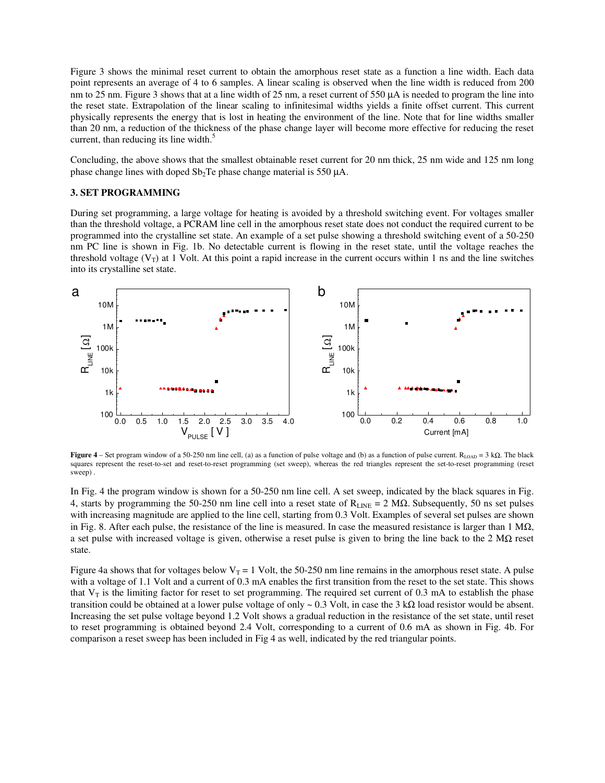Figure 3 shows the minimal reset current to obtain the amorphous reset state as a function a line width. Each data point represents an average of 4 to 6 samples. A linear scaling is observed when the line width is reduced from 200 nm to 25 nm. Figure 3 shows that at a line width of 25 nm, a reset current of 550  $\mu$ A is needed to program the line into the reset state. Extrapolation of the linear scaling to infinitesimal widths yields a finite offset current. This current physically represents the energy that is lost in heating the environment of the line. Note that for line widths smaller than 20 nm, a reduction of the thickness of the phase change layer will become more effective for reducing the reset current, than reducing its line width.<sup>5</sup>

Concluding, the above shows that the smallest obtainable reset current for 20 nm thick, 25 nm wide and 125 nm long phase change lines with doped  $Sb<sub>2</sub>Te$  phase change material is 550  $\mu$ A.

#### **3. SET PROGRAMMING**

During set programming, a large voltage for heating is avoided by a threshold switching event. For voltages smaller than the threshold voltage, a PCRAM line cell in the amorphous reset state does not conduct the required current to be programmed into the crystalline set state. An example of a set pulse showing a threshold switching event of a 50-250 nm PC line is shown in Fig. 1b. No detectable current is flowing in the reset state, until the voltage reaches the threshold voltage  $(V_T)$  at 1 Volt. At this point a rapid increase in the current occurs within 1 ns and the line switches into its crystalline set state.



**Figure** 4 – Set program window of a 50-250 nm line cell, (a) as a function of pulse voltage and (b) as a function of pulse current. R<sub>LOAD</sub> = 3 kΩ. The black squares represent the reset-to-set and reset-to-reset programming (set sweep), whereas the red triangles represent the set-to-reset programming (reset sweep) .

In Fig. 4 the program window is shown for a 50-250 nm line cell. A set sweep, indicated by the black squares in Fig. 4, starts by programming the 50-250 nm line cell into a reset state of  $R_{\text{LNE}} = 2 M\Omega$ . Subsequently, 50 ns set pulses with increasing magnitude are applied to the line cell, starting from 0.3 Volt. Examples of several set pulses are shown in Fig. 8. After each pulse, the resistance of the line is measured. In case the measured resistance is larger than 1 M $\Omega$ , a set pulse with increased voltage is given, otherwise a reset pulse is given to bring the line back to the  $2 M\Omega$  reset state.

Figure 4a shows that for voltages below  $V_T = 1$  Volt, the 50-250 nm line remains in the amorphous reset state. A pulse with a voltage of 1.1 Volt and a current of 0.3 mA enables the first transition from the reset to the set state. This shows that  $V_T$  is the limiting factor for reset to set programming. The required set current of 0.3 mA to establish the phase transition could be obtained at a lower pulse voltage of only  $\sim 0.3$  Volt, in case the 3 kΩ load resistor would be absent. Increasing the set pulse voltage beyond 1.2 Volt shows a gradual reduction in the resistance of the set state, until reset to reset programming is obtained beyond 2.4 Volt, corresponding to a current of 0.6 mA as shown in Fig. 4b. For comparison a reset sweep has been included in Fig 4 as well, indicated by the red triangular points.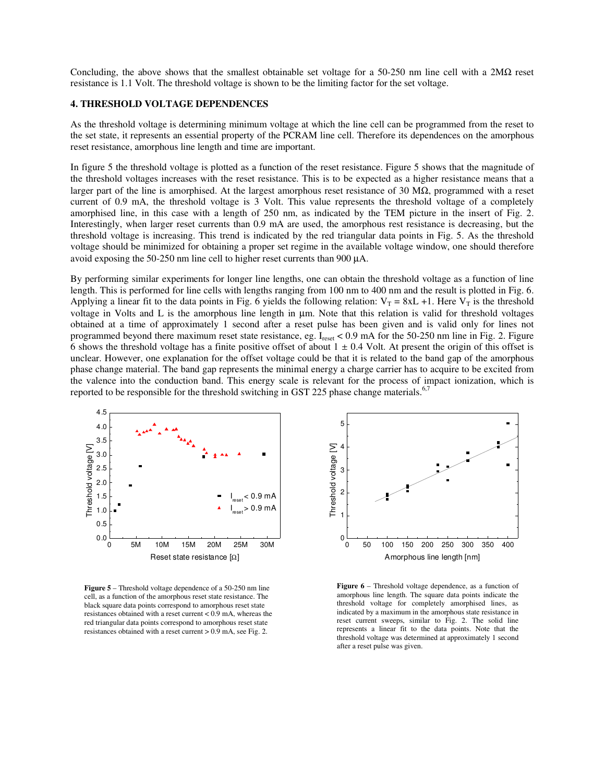Concluding, the above shows that the smallest obtainable set voltage for a 50-250 nm line cell with a 2M $\Omega$  reset resistance is 1.1 Volt. The threshold voltage is shown to be the limiting factor for the set voltage.

#### **4. THRESHOLD VOLTAGE DEPENDENCES**

As the threshold voltage is determining minimum voltage at which the line cell can be programmed from the reset to the set state, it represents an essential property of the PCRAM line cell. Therefore its dependences on the amorphous reset resistance, amorphous line length and time are important.

In figure 5 the threshold voltage is plotted as a function of the reset resistance. Figure 5 shows that the magnitude of the threshold voltages increases with the reset resistance. This is to be expected as a higher resistance means that a larger part of the line is amorphised. At the largest amorphous reset resistance of 30 M $\Omega$ , programmed with a reset current of 0.9 mA, the threshold voltage is 3 Volt. This value represents the threshold voltage of a completely amorphised line, in this case with a length of 250 nm, as indicated by the TEM picture in the insert of Fig. 2. Interestingly, when larger reset currents than 0.9 mA are used, the amorphous rest resistance is decreasing, but the threshold voltage is increasing. This trend is indicated by the red triangular data points in Fig. 5. As the threshold voltage should be minimized for obtaining a proper set regime in the available voltage window, one should therefore avoid exposing the 50-250 nm line cell to higher reset currents than 900 µA.

By performing similar experiments for longer line lengths, one can obtain the threshold voltage as a function of line length. This is performed for line cells with lengths ranging from 100 nm to 400 nm and the result is plotted in Fig. 6. Applying a linear fit to the data points in Fig. 6 yields the following relation:  $V_T = 8xL +1$ . Here  $V_T$  is the threshold voltage in Volts and L is the amorphous line length in µm. Note that this relation is valid for threshold voltages obtained at a time of approximately 1 second after a reset pulse has been given and is valid only for lines not programmed beyond there maximum reset state resistance, eg.  $I_{\text{reset}} < 0.9$  mA for the 50-250 nm line in Fig. 2. Figure 6 shows the threshold voltage has a finite positive offset of about  $1 \pm 0.4$  Volt. At present the origin of this offset is unclear. However, one explanation for the offset voltage could be that it is related to the band gap of the amorphous phase change material. The band gap represents the minimal energy a charge carrier has to acquire to be excited from the valence into the conduction band. This energy scale is relevant for the process of impact ionization, which is reported to be responsible for the threshold switching in GST 225 phase change materials.<sup>6,7</sup>



**Figure 5** – Threshold voltage dependence of a 50-250 nm line cell, as a function of the amorphous reset state resistance. The black square data points correspond to amorphous reset state resistances obtained with a reset current  $< 0.9$  mA, whereas the red triangular data points correspond to amorphous reset state resistances obtained with a reset current > 0.9 mA, see Fig. 2.



**Figure 6** – Threshold voltage dependence, as a function of amorphous line length. The square data points indicate the threshold voltage for completely amorphised lines, as indicated by a maximum in the amorphous state resistance in reset current sweeps, similar to Fig. 2. The solid line represents a linear fit to the data points. Note that the threshold voltage was determined at approximately 1 second after a reset pulse was given.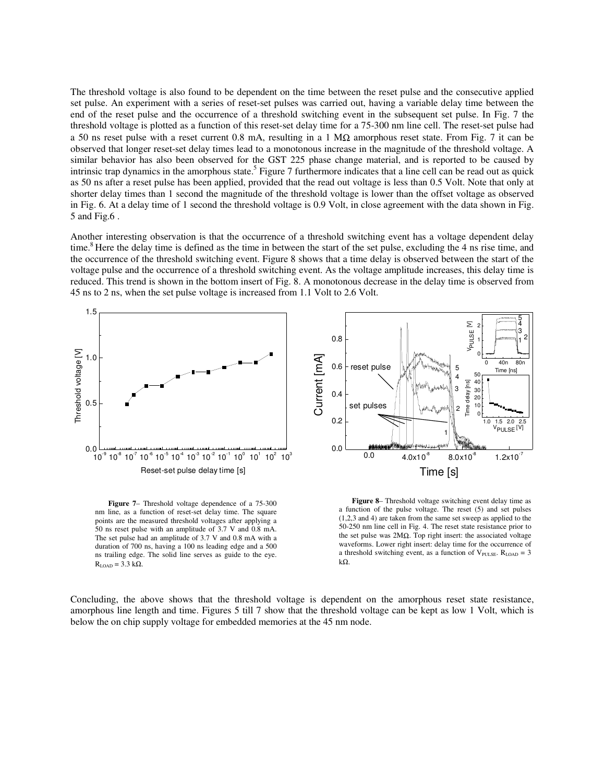The threshold voltage is also found to be dependent on the time between the reset pulse and the consecutive applied set pulse. An experiment with a series of reset-set pulses was carried out, having a variable delay time between the end of the reset pulse and the occurrence of a threshold switching event in the subsequent set pulse. In Fig. 7 the threshold voltage is plotted as a function of this reset-set delay time for a 75-300 nm line cell. The reset-set pulse had a 50 ns reset pulse with a reset current 0.8 mA, resulting in a 1 M $\Omega$  amorphous reset state. From Fig. 7 it can be observed that longer reset-set delay times lead to a monotonous increase in the magnitude of the threshold voltage. A similar behavior has also been observed for the GST 225 phase change material, and is reported to be caused by intrinsic trap dynamics in the amorphous state.<sup>5</sup> Figure 7 furthermore indicates that a line cell can be read out as quick as 50 ns after a reset pulse has been applied, provided that the read out voltage is less than 0.5 Volt. Note that only at shorter delay times than 1 second the magnitude of the threshold voltage is lower than the offset voltage as observed in Fig. 6. At a delay time of 1 second the threshold voltage is 0.9 Volt, in close agreement with the data shown in Fig. 5 and Fig.6 .

Another interesting observation is that the occurrence of a threshold switching event has a voltage dependent delay time.<sup>8</sup> Here the delay time is defined as the time in between the start of the set pulse, excluding the 4 ns rise time, and the occurrence of the threshold switching event. Figure 8 shows that a time delay is observed between the start of the voltage pulse and the occurrence of a threshold switching event. As the voltage amplitude increases, this delay time is reduced. This trend is shown in the bottom insert of Fig. 8. A monotonous decrease in the delay time is observed from 45 ns to 2 ns, when the set pulse voltage is increased from 1.1 Volt to 2.6 Volt.



**Figure 7**– Threshold voltage dependence of a 75-300 nm line, as a function of reset-set delay time. The square points are the measured threshold voltages after applying a 50 ns reset pulse with an amplitude of 3.7 V and 0.8 mA. The set pulse had an amplitude of 3.7 V and 0.8 mA with a duration of 700 ns, having a 100 ns leading edge and a 500 ns trailing edge. The solid line serves as guide to the eye.  $R<sub>LOAD</sub>$  = 3.3 kΩ.

**Figure 8**– Threshold voltage switching event delay time as a function of the pulse voltage. The reset (5) and set pulses (1,2,3 and 4) are taken from the same set sweep as applied to the 50-250 nm line cell in Fig. 4. The reset state resistance prior to the set pulse was  $2MΩ$ . Top right insert: the associated voltage waveforms. Lower right insert: delay time for the occurrence of a threshold switching event, as a function of  $V_{\text{PULSE}}$ .  $R_{\text{LOAD}} = 3$ kΩ.

Concluding, the above shows that the threshold voltage is dependent on the amorphous reset state resistance, amorphous line length and time. Figures 5 till 7 show that the threshold voltage can be kept as low 1 Volt, which is below the on chip supply voltage for embedded memories at the 45 nm node.